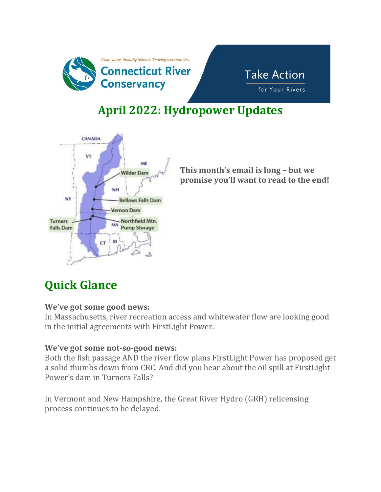



# **April 2022: Hydropower Updates**



**This month's email is long – but we promise you'll want to read to the end!**

# **Quick Glance**

#### **We've got some good news:**

In Massachusetts, river recreation access and whitewater flow are looking good in the initial agreements with FirstLight Power.

#### **We've got some not-so-good news:**

Both the fish passage AND the river flow plans FirstLight Power has proposed get a solid thumbs down from CRC. And did you hear about the oil spill at FirstLight Power's dam in Turners Falls?

In Vermont and New Hampshire, the Great River Hydro (GRH) relicensing process continues to be delayed.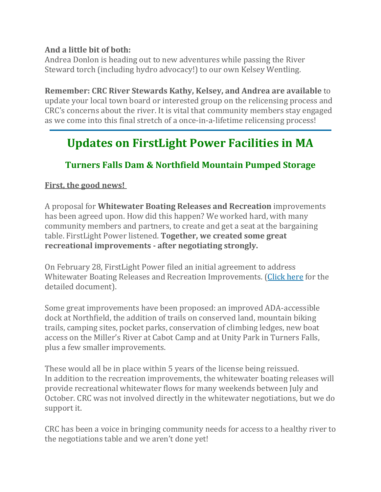#### **And a little bit of both:**

Andrea Donlon is heading out to new adventures while passing the River Steward torch (including hydro advocacy!) to our own Kelsey Wentling.

**Remember: CRC River Stewards Kathy, Kelsey, and Andrea are available** to update your local town board or interested group on the relicensing process and CRC's concerns about the river. It is vital that community members stay engaged as we come into this final stretch of a once-in-a-lifetime relicensing process!

### **Updates on FirstLight Power Facilities in MA**

### **Turners Falls Dam & Northfield Mountain Pumped Storage**

#### **First, the good news!**

A proposal for **Whitewater Boating Releases and Recreation** improvements has been agreed upon. How did this happen? We worked hard, with many community members and partners, to create and get a seat at the bargaining table. FirstLight Power listened. **Together, we created some great recreational improvements - after negotiating strongly.**

On February 28, FirstLight Power filed an initial agreement to address Whitewater Boating Releases and Recreation Improvements. [\(Click](http://url1339.ctriver.org/ls/click?upn=xGr-2FSemd6Ndyx2ZcRmGEQAhkXp8VBCpm-2B4XMx93YB-2Bd69y1SnfsSoA4qXx53Fe4FHKmDNbbXC7LHpRLK-2FQFpp4Q-2BrH598DEYcqvuvp-2BZjFB5RL9jU9-2FvwsX6NAsw7hTdrqb0T4jCI-2BgoiV837grk9w-3D-3DLYYM_EMkI4g9sc8VWC4RorxPeidl4OKOVzvqI-2Bc8JQgKpLPNKI-2BeO-2Bo6tS-2F6U2ighJBvIrcbzYZPf1mk5670-2B0MDN6nvmUzd6KJSpdd2wbHjUWpk4ldkxoLMSFZaZouo-2FjtzOw5I-2BuTaIR6a57wI8OVh64OSnnah38plF1ST1iZ81q3gn0ocYkaLP9LqCtjuMejtUWp0FMx2pgHMIrwJybveVnxESt5e6pq0x7Bhsd-2FX0zcfMWhwST-2BlbpOz5b5tmF37sk-2FPtGeemowHFsjl6J45diqm7xCizHDpUycUphYL94G8pt-2BIfiBPEU4vIwZexsVLP7NcRVfSdshexd8Vuyy5pBw-3D-3D) here for the detailed document).

Some great improvements have been proposed: an improved ADA-accessible dock at Northfield, the addition of trails on conserved land, mountain biking trails, camping sites, pocket parks, conservation of climbing ledges, new boat access on the Miller's River at Cabot Camp and at Unity Park in Turners Falls, plus a few smaller improvements.

These would all be in place within 5 years of the license being reissued. In addition to the recreation improvements, the whitewater boating releases will provide recreational whitewater flows for many weekends between July and October. CRC was not involved directly in the whitewater negotiations, but we do support it.

CRC has been a voice in bringing community needs for access to a healthy river to the negotiations table and we aren't done yet!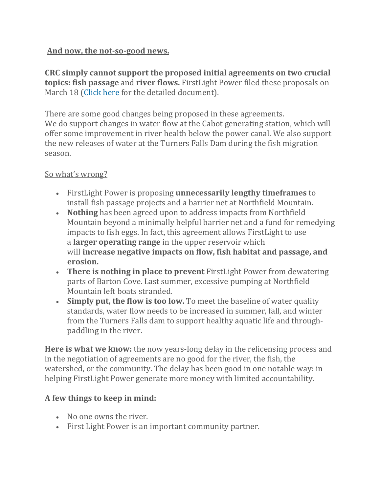### **And now, the not-so-good news.**

**CRC simply cannot support the proposed initial agreements on two crucial topics: fish passage** and **river flows.** FirstLight Power filed these proposals on March 18 [\(Click](http://url1339.ctriver.org/ls/click?upn=xGr-2FSemd6Ndyx2ZcRmGEQAhkXp8VBCpm-2B4XMx93YB-2Bd69y1SnfsSoA4qXx53Fe4FHKmDNbbXC7LHpRLK-2FQFppwKrNFF3RDGnwed-2B9NU2jPPDjJboPzvifN6PTl3A8kkuAEMavWpCESNzlf-2BNS-2BDGkA-3D-3DWrGA_EMkI4g9sc8VWC4RorxPeidl4OKOVzvqI-2Bc8JQgKpLPNKI-2BeO-2Bo6tS-2F6U2ighJBvIrcbzYZPf1mk5670-2B0MDN6nvmUzd6KJSpdd2wbHjUWpk4ldkxoLMSFZaZouo-2FjtzOw5I-2BuTaIR6a57wI8OVh64OSnnah38plF1ST1iZ81q3jLaIYMP3pvTl0S-2FNcrBzQTeJgXM-2Bc1YMS1d3Fh0Y6UG-2FwTCiRDwJ-2BC7MGcXhm2pPdlk7co2GZB-2Bnz7YEujKaFjRX9u9dHsOxV9-2B-2BYodC53BDTkVNH6ktWyLx-2Bn8RWQ-2BsKz-2B-2F-2B1S0CZRtqr-2BnpvCP3RGBchJLUMxfGpqHsVqmmmCQ-3D-3D) here for the detailed document).

There are some good changes being proposed in these agreements. We do support changes in water flow at the Cabot generating station, which will offer some improvement in river health below the power canal. We also support the new releases of water at the Turners Falls Dam during the fish migration season.

### So what's wrong?

- FirstLight Power is proposing **unnecessarily lengthy timeframes** to install fish passage projects and a barrier net at Northfield Mountain.
- **Nothing** has been agreed upon to address impacts from Northfield Mountain beyond a minimally helpful barrier net and a fund for remedying impacts to fish eggs. In fact, this agreement allows FirstLight to use a **larger operating range** in the upper reservoir which will **increase negative impacts on flow, fish habitat and passage, and erosion.**
- **There is nothing in place to prevent** FirstLight Power from dewatering parts of Barton Cove. Last summer, excessive pumping at Northfield Mountain left boats stranded.
- **Simply put, the flow is too low.** To meet the baseline of water quality standards, water flow needs to be increased in summer, fall, and winter from the Turners Falls dam to support healthy aquatic life and throughpaddling in the river.

**Here is what we know:** the now years-long delay in the relicensing process and in the negotiation of agreements are no good for the river, the fish, the watershed, or the community. The delay has been good in one notable way: in helping FirstLight Power generate more money with limited accountability.

### **A few things to keep in mind:**

- No one owns the river.
- First Light Power is an important community partner.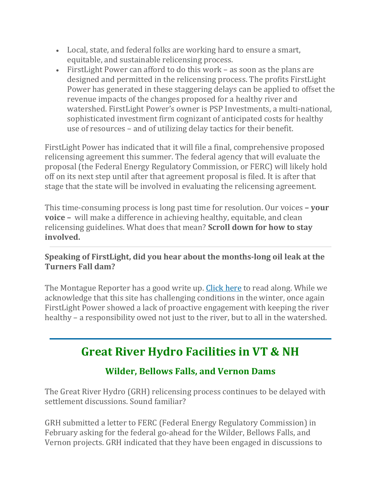- Local, state, and federal folks are working hard to ensure a smart, equitable, and sustainable relicensing process.
- FirstLight Power can afford to do this work as soon as the plans are designed and permitted in the relicensing process. The profits FirstLight Power has generated in these staggering delays can be applied to offset the revenue impacts of the changes proposed for a healthy river and watershed. FirstLight Power's owner is PSP Investments, a multi-national, sophisticated investment firm cognizant of anticipated costs for healthy use of resources – and of utilizing delay tactics for their benefit.

FirstLight Power has indicated that it will file a final, comprehensive proposed relicensing agreement this summer. The federal agency that will evaluate the proposal (the Federal Energy Regulatory Commission, or FERC) will likely hold off on its next step until after that agreement proposal is filed. It is after that stage that the state will be involved in evaluating the relicensing agreement.

This time-consuming process is long past time for resolution. Our voices **– your voice –** will make a difference in achieving healthy, equitable, and clean relicensing guidelines. What does that mean? **Scroll down for how to stay involved.**

### **Speaking of FirstLight, did you hear about the months-long oil leak at the Turners Fall dam?**

The Montague Reporter has a good write up. [Click](http://url1339.ctriver.org/ls/click?upn=xGr-2FSemd6Ndyx2ZcRmGEQNalPBibiP-2FDvPwRjfDIQeCFIJ69Hnsm5dvrBHELBGHAwNbe89SVHuh586-2ByFB0E82GhZxlSCS6c2F21orfhkFs3XucmZj-2BQiAWAPWlAY9SdI_Jb_EMkI4g9sc8VWC4RorxPeidl4OKOVzvqI-2Bc8JQgKpLPNKI-2BeO-2Bo6tS-2F6U2ighJBvIrcbzYZPf1mk5670-2B0MDN6nvmUzd6KJSpdd2wbHjUWpk4ldkxoLMSFZaZouo-2FjtzOw5I-2BuTaIR6a57wI8OVh64OSnnah38plF1ST1iZ81q3ihIxDeB0ZZnhWCui2dM-2B6-2BcY6XzAKuLvmaB4T7YDCcCYFLivyGskeC-2FOChSv8fhlT3jHJsNjw26IJ9pfJWcbUxd3d-2B-2BRPnqiHqKwd-2FVPKn5xh-2BloKBKTTmKX7JL-2FCkBO3rKquMAx25Y4lqv9CfwxlqkmQLTSqT78x1SPjuWDDEug-3D-3D) here to read along. While we acknowledge that this site has challenging conditions in the winter, once again FirstLight Power showed a lack of proactive engagement with keeping the river healthy – a responsibility owed not just to the river, but to all in the watershed.

# **Great River Hydro Facilities in VT & NH**

### **Wilder, Bellows Falls, and Vernon Dams**

The Great River Hydro (GRH) relicensing process continues to be delayed with settlement discussions. Sound familiar?

GRH submitted a letter to FERC (Federal Energy Regulatory Commission) in February asking for the federal go-ahead for the Wilder, Bellows Falls, and Vernon projects. GRH indicated that they have been engaged in discussions to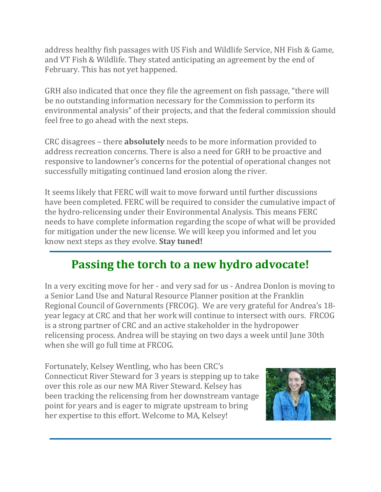address healthy fish passages with US Fish and Wildlife Service, NH Fish & Game, and VT Fish & Wildlife. They stated anticipating an agreement by the end of February. This has not yet happened.

GRH also indicated that once they file the agreement on fish passage, "there will be no outstanding information necessary for the Commission to perform its environmental analysis" of their projects, and that the federal commission should feel free to go ahead with the next steps.

CRC disagrees – there **absolutely** needs to be more information provided to address recreation concerns. There is also a need for GRH to be proactive and responsive to landowner's concerns for the potential of operational changes not successfully mitigating continued land erosion along the river.

It seems likely that FERC will wait to move forward until further discussions have been completed. FERC will be required to consider the cumulative impact of the hydro-relicensing under their Environmental Analysis. This means FERC needs to have complete information regarding the scope of what will be provided for mitigation under the new license. We will keep you informed and let you know next steps as they evolve. **Stay tuned!**

# **Passing the torch to a new hydro advocate!**

In a very exciting move for her - and very sad for us - Andrea Donlon is moving to a Senior Land Use and Natural Resource Planner position at the Franklin Regional Council of Governments (FRCOG). We are very grateful for Andrea's 18 year legacy at CRC and that her work will continue to intersect with ours. FRCOG is a strong partner of CRC and an active stakeholder in the hydropower relicensing process. Andrea will be staying on two days a week until June 30th when she will go full time at FRCOG.

Fortunately, Kelsey Wentling, who has been CRC's Connecticut River Steward for 3 years is stepping up to take over this role as our new MA River Steward. Kelsey has been tracking the relicensing from her downstream vantage point for years and is eager to migrate upstream to bring her expertise to this effort. Welcome to MA, Kelsey!

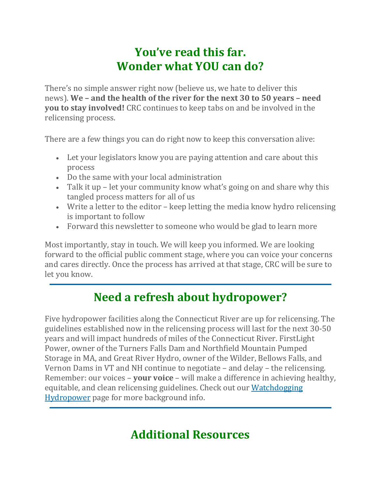### **You've read this far. Wonder what YOU can do?**

There's no simple answer right now (believe us, we hate to deliver this news). **We – and the health of the river for the next 30 to 50 years – need you to stay involved!** CRC continues to keep tabs on and be involved in the relicensing process.

There are a few things you can do right now to keep this conversation alive:

- Let your legislators know you are paying attention and care about this process
- Do the same with your local administration
- Talk it up let your community know what's going on and share why this tangled process matters for all of us
- Write a letter to the editor keep letting the media know hydro relicensing is important to follow
- Forward this newsletter to someone who would be glad to learn more

Most importantly, stay in touch. We will keep you informed. We are looking forward to the official public comment stage, where you can voice your concerns and cares directly. Once the process has arrived at that stage, CRC will be sure to let you know.

# **Need a refresh about hydropower?**

Five hydropower facilities along the Connecticut River are up for relicensing. The guidelines established now in the relicensing process will last for the next 30-50 years and will impact hundreds of miles of the Connecticut River. FirstLight Power, owner of the Turners Falls Dam and Northfield Mountain Pumped Storage in MA, and Great River Hydro, owner of the Wilder, Bellows Falls, and Vernon Dams in VT and NH continue to negotiate – and delay – the relicensing. Remember: our voices – **your voice** – will make a difference in achieving healthy, equitable, and clean relicensing guidelines. Check out our [Watchdogging](http://url1339.ctriver.org/ls/click?upn=xGr-2FSemd6Ndyx2ZcRmGEQBOxQJ8YB0rEGhuHfUnleIh-2B2ilMOIKHjZSsPnSm3ARRriiZDfudiTcXx0Wu1YWasA-3D-3DfX0k_EMkI4g9sc8VWC4RorxPeidl4OKOVzvqI-2Bc8JQgKpLPNKI-2BeO-2Bo6tS-2F6U2ighJBvIrcbzYZPf1mk5670-2B0MDN6nvmUzd6KJSpdd2wbHjUWpk4ldkxoLMSFZaZouo-2FjtzOw5I-2BuTaIR6a57wI8OVh64OSnnah38plF1ST1iZ81q3iycsfgE59vJKwL72baqfGU1CE11KVfP2vkn4oNG5JmCf30krU0UWzd0SYiGdCECSTc5Cu9h-2Bd3KvLNUf3eO5fycjz1-2BwdzRppn1zwUtXsYcJ1lX-2BJaoG4DUs3PuIowoEuQKkC6oj405INoItQ4XzVSTTNm1NX-2FJyX2KHrVK7FFVA-3D-3D) [Hydropower](http://url1339.ctriver.org/ls/click?upn=xGr-2FSemd6Ndyx2ZcRmGEQBOxQJ8YB0rEGhuHfUnleIh-2B2ilMOIKHjZSsPnSm3ARRriiZDfudiTcXx0Wu1YWasA-3D-3DfX0k_EMkI4g9sc8VWC4RorxPeidl4OKOVzvqI-2Bc8JQgKpLPNKI-2BeO-2Bo6tS-2F6U2ighJBvIrcbzYZPf1mk5670-2B0MDN6nvmUzd6KJSpdd2wbHjUWpk4ldkxoLMSFZaZouo-2FjtzOw5I-2BuTaIR6a57wI8OVh64OSnnah38plF1ST1iZ81q3iycsfgE59vJKwL72baqfGU1CE11KVfP2vkn4oNG5JmCf30krU0UWzd0SYiGdCECSTc5Cu9h-2Bd3KvLNUf3eO5fycjz1-2BwdzRppn1zwUtXsYcJ1lX-2BJaoG4DUs3PuIowoEuQKkC6oj405INoItQ4XzVSTTNm1NX-2FJyX2KHrVK7FFVA-3D-3D) page for more background info.

# **Additional Resources**